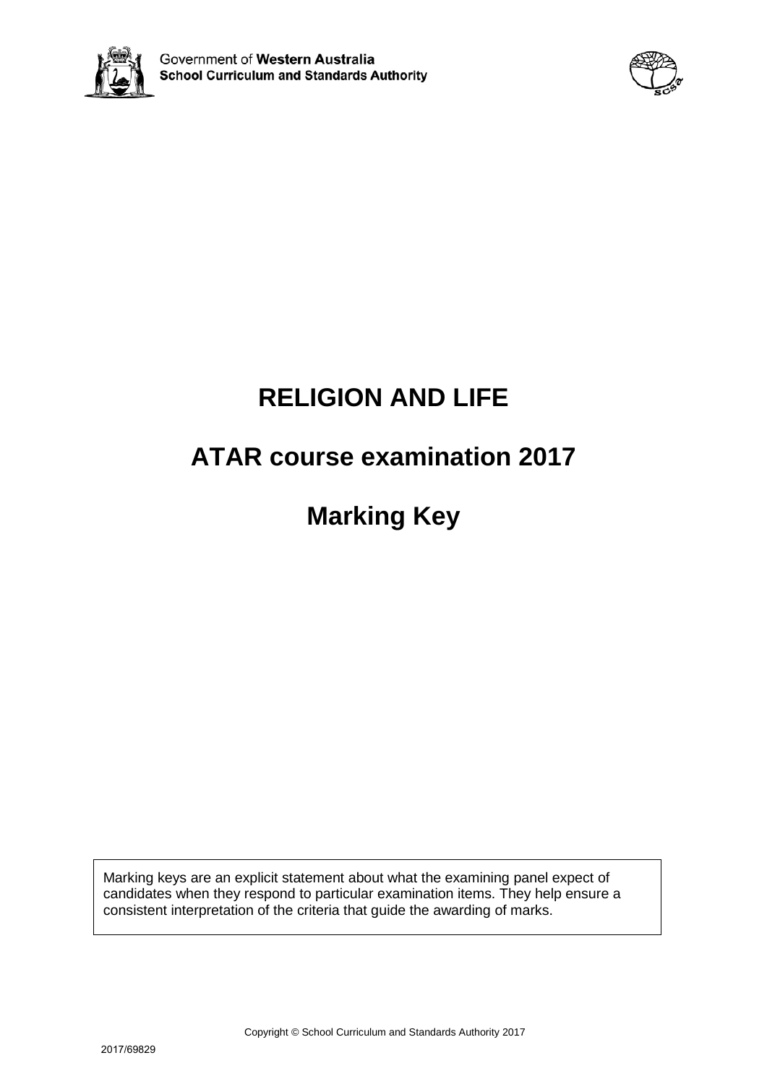



# **RELIGION AND LIFE**

# **ATAR course examination 2017**

**Marking Key**

Marking keys are an explicit statement about what the examining panel expect of candidates when they respond to particular examination items. They help ensure a consistent interpretation of the criteria that guide the awarding of marks.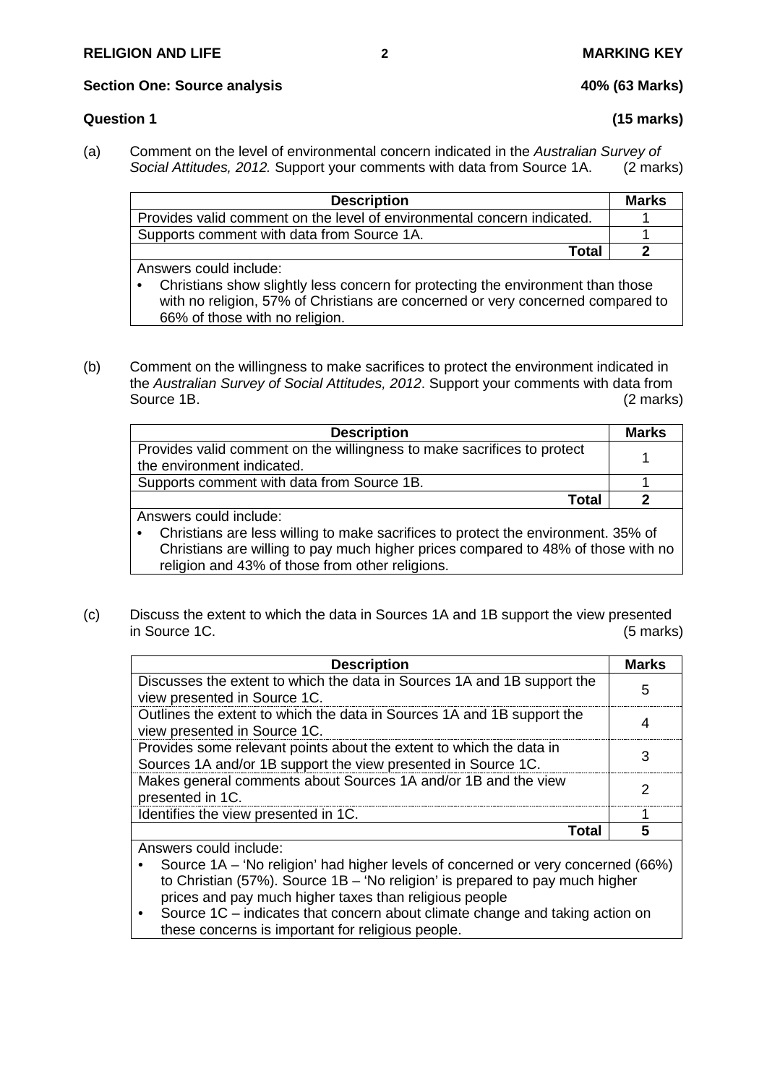#### **Section One: Source analysis 40% (63 Marks)**

### **Question 1 (15 marks)**

(a) Comment on the level of environmental concern indicated in the *Australian Survey of Social Attitudes, 2012.* Support your comments with data from Source 1A. (2 marks)

| <b>Description</b>                                                                                                                                                              | <b>Marks</b> |
|---------------------------------------------------------------------------------------------------------------------------------------------------------------------------------|--------------|
| Provides valid comment on the level of environmental concern indicated.                                                                                                         |              |
| Supports comment with data from Source 1A.                                                                                                                                      |              |
| Total                                                                                                                                                                           |              |
| Answers could include:                                                                                                                                                          |              |
| Christians show slightly less concern for protecting the environment than those<br>$\bullet$<br>with no religion, 57% of Christians are concerned or very concerned compared to |              |
| 66% of those with no religion.                                                                                                                                                  |              |

(b) Comment on the willingness to make sacrifices to protect the environment indicated in the *Australian Survey of Social Attitudes, 2012*. Support your comments with data from Source 1B. (2 marks)

| <b>Description</b>                                                                             | <b>Marks</b> |
|------------------------------------------------------------------------------------------------|--------------|
| Provides valid comment on the willingness to make sacrifices to protect                        |              |
| the environment indicated.                                                                     |              |
| Supports comment with data from Source 1B.                                                     |              |
| Total                                                                                          | 2            |
| Answers could include:                                                                         |              |
| Christians are less willing to make sacrifices to protect the environment. 35% of<br>$\bullet$ |              |
| Christians are willing to pay much higher prices compared to 48% of those with no              |              |
| religion and 43% of those from other religions.                                                |              |

(c) Discuss the extent to which the data in Sources 1A and 1B support the view presented in Source 1C. (5 marks)

| <b>Description</b>                                                                                                                   | Marks |
|--------------------------------------------------------------------------------------------------------------------------------------|-------|
| Discusses the extent to which the data in Sources 1A and 1B support the<br>view presented in Source 1C.                              |       |
| Outlines the extent to which the data in Sources 1A and 1B support the<br>view presented in Source 1C.                               |       |
| Provides some relevant points about the extent to which the data in<br>Sources 1A and/or 1B support the view presented in Source 1C. |       |
| Makes general comments about Sources 1A and/or 1B and the view<br>presented in 1C.                                                   |       |
| Identifies the view presented in 1C.                                                                                                 |       |
| ntar                                                                                                                                 |       |
| Answers could include:                                                                                                               |       |

- Source 1A 'No religion' had higher levels of concerned or very concerned (66%) to Christian (57%). Source 1B – 'No religion' is prepared to pay much higher prices and pay much higher taxes than religious people
- Source 1C indicates that concern about climate change and taking action on these concerns is important for religious people.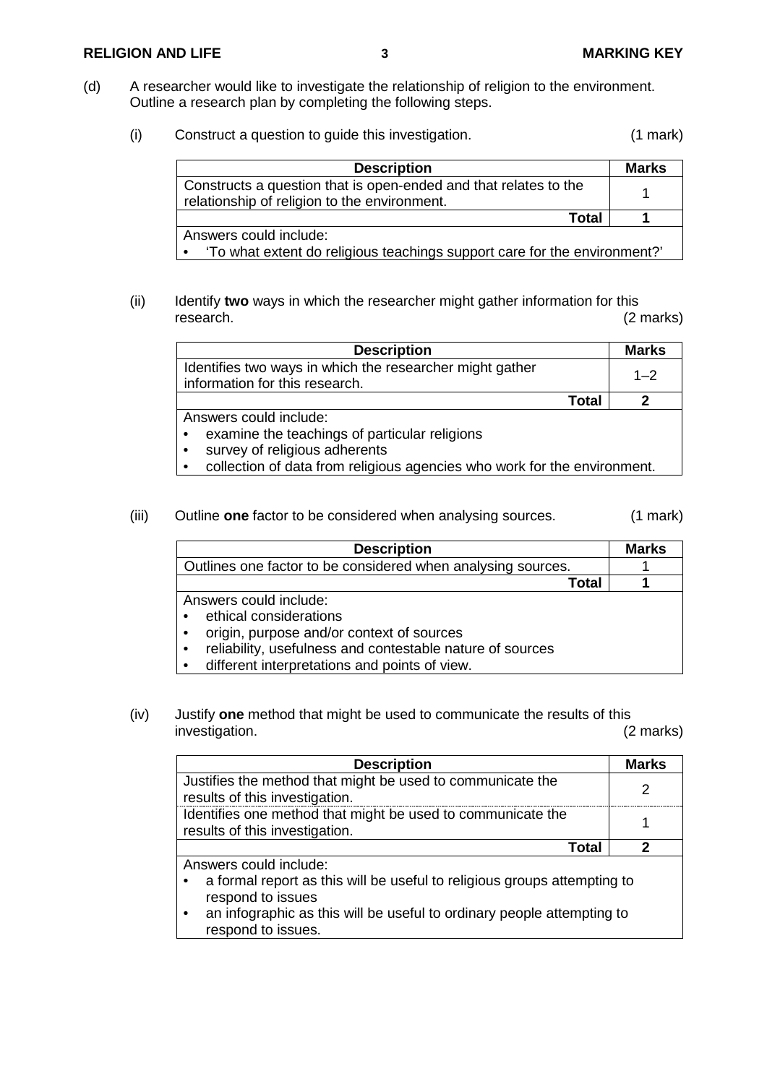#### **RELIGION AND LIFE 3 MARKING KEY**

- (d) A researcher would like to investigate the relationship of religion to the environment. Outline a research plan by completing the following steps.
	- (i) Construct a question to guide this investigation. (1 mark)

| <b>Description</b>                                                                                               | Marks |
|------------------------------------------------------------------------------------------------------------------|-------|
| Constructs a question that is open-ended and that relates to the<br>relationship of religion to the environment. |       |
| Total                                                                                                            |       |
| Answers could include:                                                                                           |       |
| 'To what extent do religious teachings support care for the environment?'                                        |       |

(ii) Identify **two** ways in which the researcher might gather information for this research. (2 marks)

| <b>Description</b>                                                                         |       | <b>Marks</b> |
|--------------------------------------------------------------------------------------------|-------|--------------|
| Identifies two ways in which the researcher might gather<br>information for this research. |       | $1 - 2$      |
|                                                                                            | Total |              |
| Answers could include:<br>examine the teachings of particular religions                    |       |              |

- survey of religious adherents
- collection of data from religious agencies who work for the environment.
- (iii) Outline **one** factor to be considered when analysing sources. (1 mark)

| <b>Description</b>                                           | <b>Marks</b> |
|--------------------------------------------------------------|--------------|
| Outlines one factor to be considered when analysing sources. |              |
| Total                                                        |              |
| Answers could include:                                       |              |
| ethical considerations                                       |              |
| origin, purpose and/or context of sources                    |              |
| reliability, usefulness and contestable nature of sources    |              |
| different interpretations and points of view.                |              |

(iv) Justify **one** method that might be used to communicate the results of this investigation.

| <b>Description</b>                                                                                                                                                                                                      | <b>Marks</b> |
|-------------------------------------------------------------------------------------------------------------------------------------------------------------------------------------------------------------------------|--------------|
| Justifies the method that might be used to communicate the<br>results of this investigation.                                                                                                                            | 2            |
| Identifies one method that might be used to communicate the<br>results of this investigation.                                                                                                                           |              |
| Total                                                                                                                                                                                                                   | 2            |
| Answers could include:<br>a formal report as this will be useful to religious groups attempting to<br>respond to issues<br>an infographic as this will be useful to ordinary people attempting to<br>respond to issues. |              |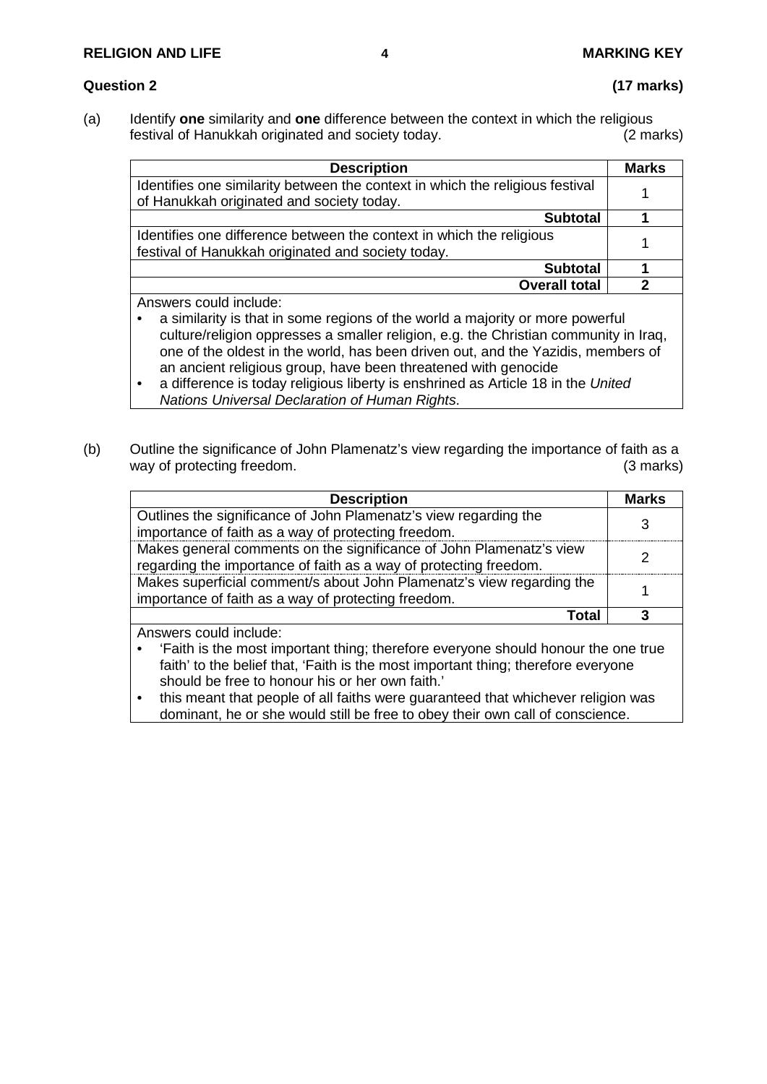### **RELIGION AND LIFE 4 MARKING KEY**

### **Question 2 (17 marks)**

(a) Identify **one** similarity and **one** difference between the context in which the religious festival of Hanukkah originated and society today.

| <b>Description</b>                                                                                                                                                                                                                        | <b>Marks</b> |
|-------------------------------------------------------------------------------------------------------------------------------------------------------------------------------------------------------------------------------------------|--------------|
| Identifies one similarity between the context in which the religious festival<br>of Hanukkah originated and society today.                                                                                                                |              |
| <b>Subtotal</b>                                                                                                                                                                                                                           |              |
| Identifies one difference between the context in which the religious<br>festival of Hanukkah originated and society today.                                                                                                                |              |
| <b>Subtotal</b>                                                                                                                                                                                                                           |              |
| <b>Overall total</b>                                                                                                                                                                                                                      |              |
| Answers could include:                                                                                                                                                                                                                    |              |
| $\mathcal{L}(\mathcal{A})$ . The contract of the contract of the contract of the contract of the contract of the contract of the contract of the contract of the contract of the contract of the contract of the contract of the contract |              |

- a similarity is that in some regions of the world a majority or more powerful culture/religion oppresses a smaller religion, e.g. the Christian community in Iraq, one of the oldest in the world, has been driven out, and the Yazidis, members of an ancient religious group, have been threatened with genocide
- a difference is today religious liberty is enshrined as Article 18 in the *United Nations Universal Declaration of Human Rights*.
- (b) Outline the significance of John Plamenatz's view regarding the importance of faith as a way of protecting freedom. (3 marks)

| <b>Description</b>                                                                            | <b>Marks</b> |
|-----------------------------------------------------------------------------------------------|--------------|
| Outlines the significance of John Plamenatz's view regarding the                              | 3            |
| importance of faith as a way of protecting freedom.                                           |              |
| Makes general comments on the significance of John Plamenatz's view                           | 2            |
| regarding the importance of faith as a way of protecting freedom.                             |              |
| Makes superficial comment/s about John Plamenatz's view regarding the                         |              |
| importance of faith as a way of protecting freedom.                                           |              |
| <b>Total</b>                                                                                  | 3            |
| Answers could include:                                                                        |              |
| 'Faith is the most important thing; therefore everyone should honour the one true<br>٠        |              |
| faith' to the belief that, 'Faith is the most important thing; therefore everyone             |              |
| should be free to honour his or her own faith.'                                               |              |
| this meant that people of all faiths were guaranteed that whichever religion was<br>$\bullet$ |              |
| dominant, he or she would still be free to obey their own call of conscience.                 |              |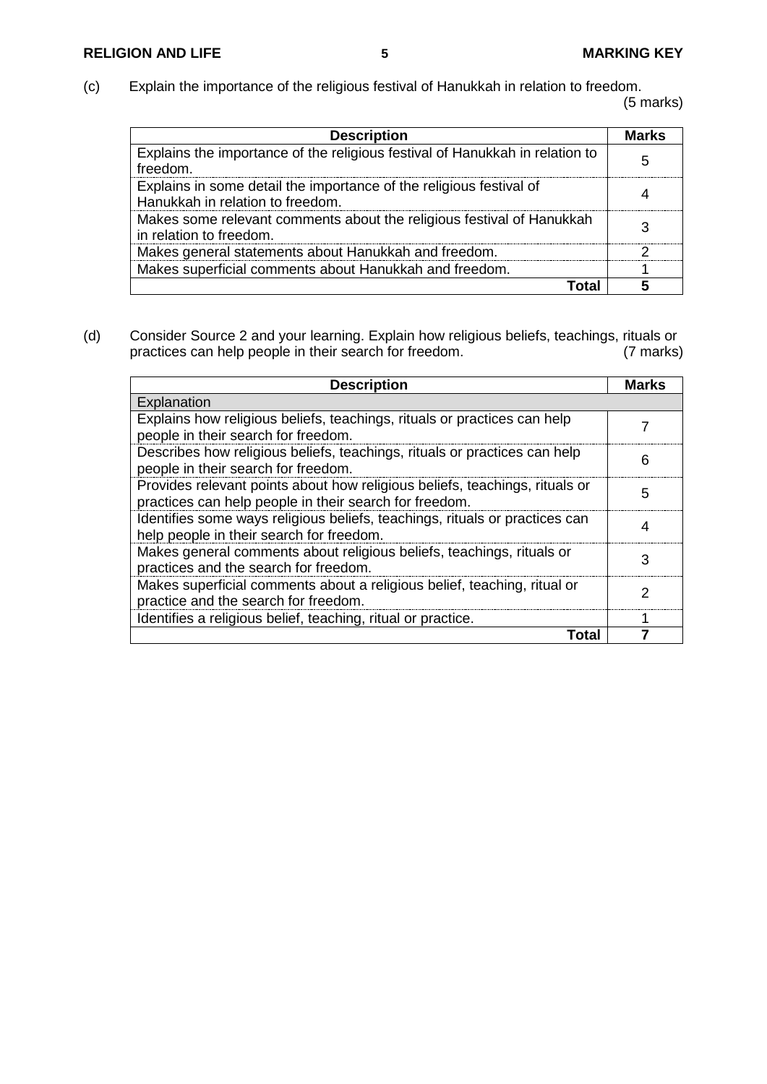(c) Explain the importance of the religious festival of Hanukkah in relation to freedom. (5 marks)

| <b>Description</b>                                                                                      | <b>Marks</b> |
|---------------------------------------------------------------------------------------------------------|--------------|
| Explains the importance of the religious festival of Hanukkah in relation to<br>freedom.                |              |
| Explains in some detail the importance of the religious festival of<br>Hanukkah in relation to freedom. |              |
| Makes some relevant comments about the religious festival of Hanukkah<br>in relation to freedom.        |              |
| Makes general statements about Hanukkah and freedom.                                                    |              |
| Makes superficial comments about Hanukkah and freedom.                                                  |              |
|                                                                                                         |              |

(d) Consider Source 2 and your learning. Explain how religious beliefs, teachings, rituals or practices can help people in their search for freedom.

| <b>Description</b>                                                                                                                    | <b>Marks</b> |
|---------------------------------------------------------------------------------------------------------------------------------------|--------------|
| Explanation                                                                                                                           |              |
| Explains how religious beliefs, teachings, rituals or practices can help                                                              |              |
| people in their search for freedom.                                                                                                   |              |
| Describes how religious beliefs, teachings, rituals or practices can help<br>people in their search for freedom.                      | 6            |
| Provides relevant points about how religious beliefs, teachings, rituals or<br>practices can help people in their search for freedom. | 5            |
| Identifies some ways religious beliefs, teachings, rituals or practices can<br>help people in their search for freedom.               |              |
| Makes general comments about religious beliefs, teachings, rituals or<br>practices and the search for freedom.                        | 3            |
| Makes superficial comments about a religious belief, teaching, ritual or<br>practice and the search for freedom.                      | 2            |
| Identifies a religious belief, teaching, ritual or practice.                                                                          |              |
| Total                                                                                                                                 |              |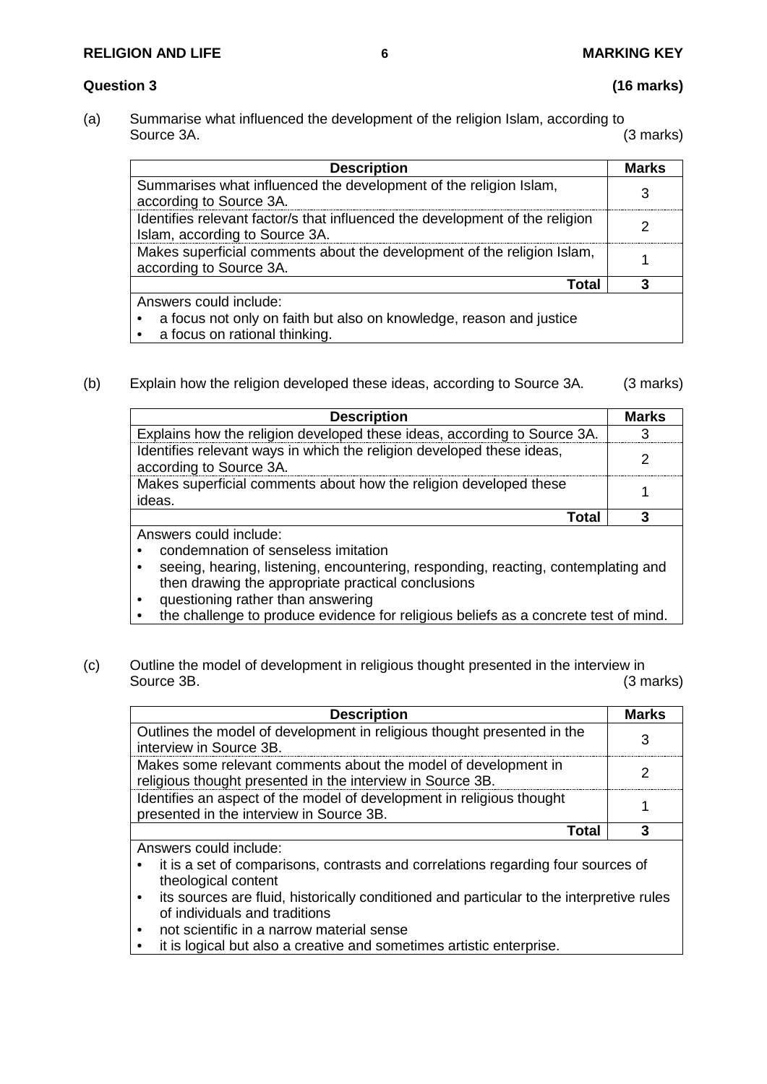### **RELIGION AND LIFE 6 MARKING KEY**

### **Question 3 (16 marks)**

(a) Summarise what influenced the development of the religion Islam, according to<br>Source 3A. (3 marks) Source 3A. (3 marks)

| <b>Description</b>                                                                                                             | <b>Marks</b> |
|--------------------------------------------------------------------------------------------------------------------------------|--------------|
| Summarises what influenced the development of the religion Islam,<br>according to Source 3A.                                   |              |
| Identifies relevant factor/s that influenced the development of the religion<br>Islam, according to Source 3A.                 |              |
| Makes superficial comments about the development of the religion Islam,<br>according to Source 3A.                             |              |
| Total                                                                                                                          |              |
| Answers could include:<br>a focus not only on faith but also on knowledge, reason and justice<br>a focus on rational thinking. |              |

(b) Explain how the religion developed these ideas, according to Source 3A. (3 marks)

| <b>Description</b>                                                                               | <b>Marks</b> |
|--------------------------------------------------------------------------------------------------|--------------|
| Explains how the religion developed these ideas, according to Source 3A.                         |              |
| Identifies relevant ways in which the religion developed these ideas,<br>according to Source 3A. |              |
| Makes superficial comments about how the religion developed these<br>ideas.                      |              |
| Total                                                                                            |              |
| Answers could include:                                                                           |              |

• condemnation of senseless imitation

- seeing, hearing, listening, encountering, responding, reacting, contemplating and then drawing the appropriate practical conclusions
- questioning rather than answering
- the challenge to produce evidence for religious beliefs as a concrete test of mind.
- (c) Outline the model of development in religious thought presented in the interview in Source 3B. (3 marks)

| <b>Description</b>                                                                                                           | <b>Marks</b> |
|------------------------------------------------------------------------------------------------------------------------------|--------------|
| Outlines the model of development in religious thought presented in the<br>interview in Source 3B.                           |              |
| Makes some relevant comments about the model of development in<br>religious thought presented in the interview in Source 3B. |              |
| Identifies an aspect of the model of development in religious thought<br>presented in the interview in Source 3B.            |              |
| ב לה                                                                                                                         |              |

Answers could include:

- it is a set of comparisons, contrasts and correlations regarding four sources of theological content
- its sources are fluid, historically conditioned and particular to the interpretive rules of individuals and traditions
- not scientific in a narrow material sense
- it is logical but also a creative and sometimes artistic enterprise.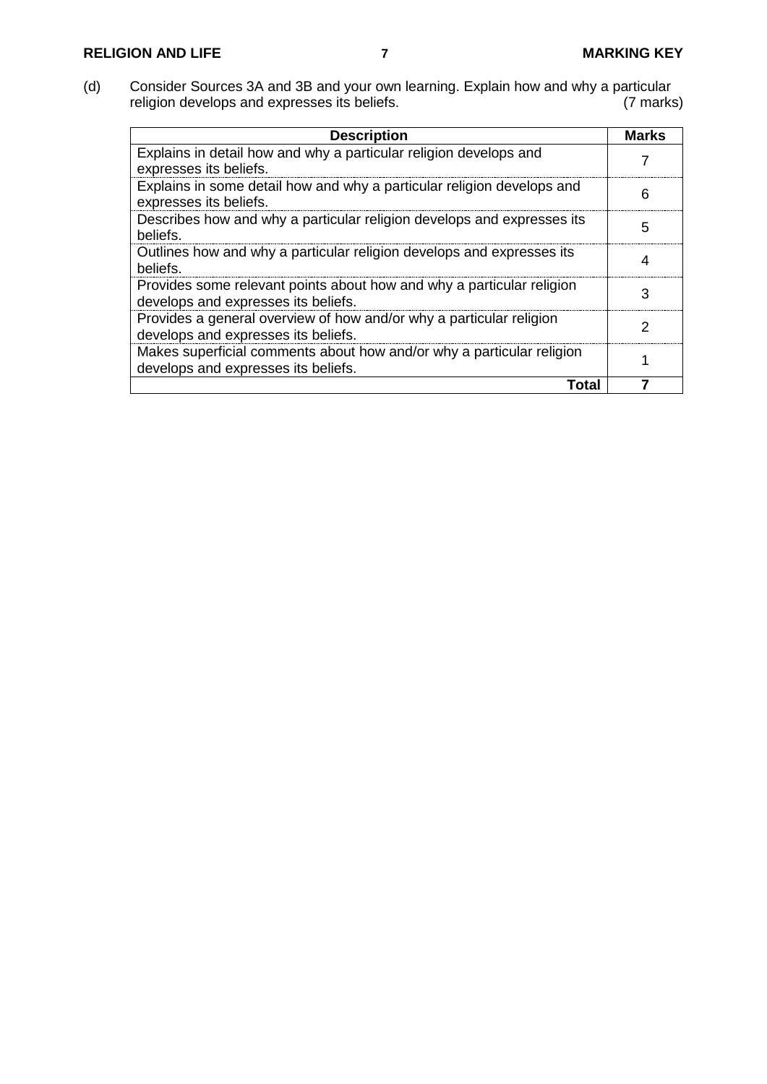(d) Consider Sources 3A and 3B and your own learning. Explain how and why a particular religion develops and expresses its beliefs. (7 marks)

| <b>Description</b>                                                                                           | Marks |
|--------------------------------------------------------------------------------------------------------------|-------|
| Explains in detail how and why a particular religion develops and<br>expresses its beliefs.                  |       |
| Explains in some detail how and why a particular religion develops and<br>expresses its beliefs.             | 6     |
| Describes how and why a particular religion develops and expresses its<br>beliefs.                           | 5     |
| Outlines how and why a particular religion develops and expresses its<br>beliefs.                            |       |
| Provides some relevant points about how and why a particular religion<br>develops and expresses its beliefs. | 3     |
| Provides a general overview of how and/or why a particular religion<br>develops and expresses its beliefs.   | 2     |
| Makes superficial comments about how and/or why a particular religion<br>develops and expresses its beliefs. |       |
| Total                                                                                                        |       |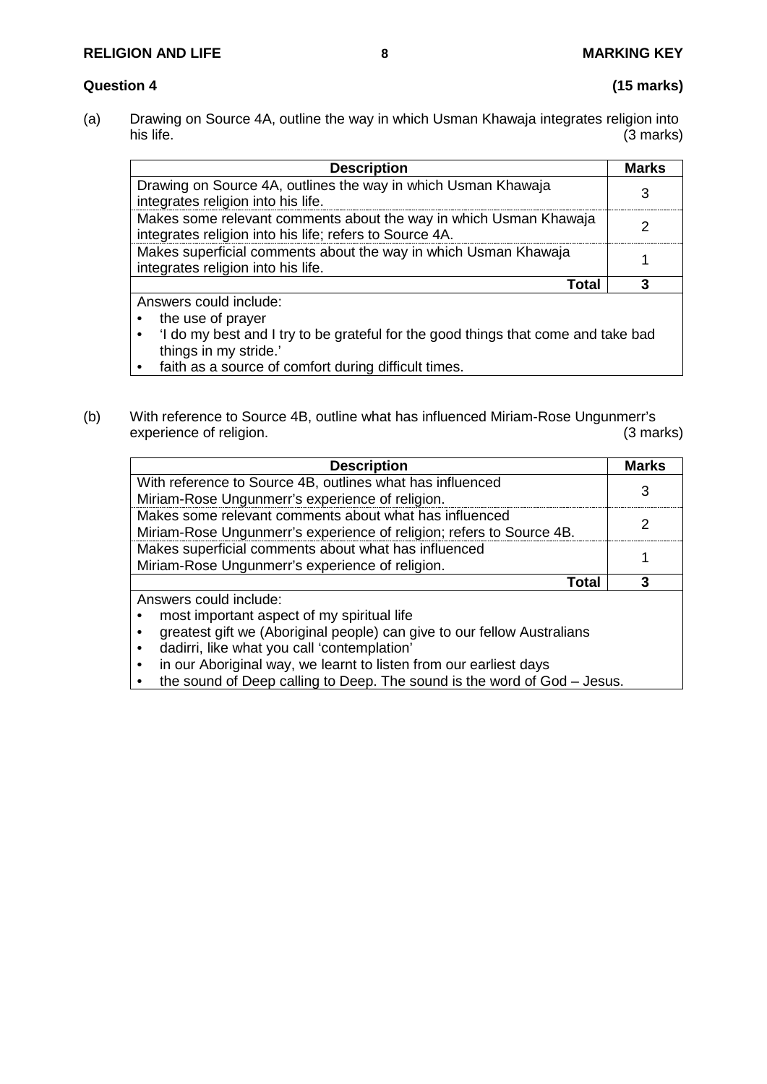### **RELIGION AND LIFE 8 MARKING KEY**

#### **Question 4 (15 marks)**

(a) Drawing on Source 4A, outline the way in which Usman Khawaja integrates religion into his life. (3 marks)

| <b>Description</b>                                                                                                           | <b>Marks</b> |
|------------------------------------------------------------------------------------------------------------------------------|--------------|
| Drawing on Source 4A, outlines the way in which Usman Khawaja<br>integrates religion into his life.                          |              |
| Makes some relevant comments about the way in which Usman Khawaja<br>integrates religion into his life; refers to Source 4A. |              |
| Makes superficial comments about the way in which Usman Khawaja<br>integrates religion into his life.                        |              |
| Total                                                                                                                        |              |
| Answers could include:<br>the use of prayer                                                                                  |              |

- 'I do my best and I try to be grateful for the good things that come and take bad things in my stride.'
- faith as a source of comfort during difficult times.
- (b) With reference to Source 4B, outline what has influenced Miriam-Rose Ungunmerr's experience of religion. experience of religion.

| <b>Description</b>                                                      | <b>Marks</b> |
|-------------------------------------------------------------------------|--------------|
| With reference to Source 4B, outlines what has influenced               |              |
| Miriam-Rose Ungunmerr's experience of religion.                         |              |
| Makes some relevant comments about what has influenced                  |              |
| Miriam-Rose Ungunmerr's experience of religion; refers to Source 4B.    |              |
| Makes superficial comments about what has influenced                    |              |
| Miriam-Rose Ungunmerr's experience of religion.                         |              |
| Total                                                                   |              |
| Answers could include:                                                  |              |
| most important aspect of my spiritual life                              |              |
| greatest gift we (Aboriginal people) can give to our fellow Australians |              |

- dadirri, like what you call 'contemplation'
- in our Aboriginal way, we learnt to listen from our earliest days
- the sound of Deep calling to Deep. The sound is the word of God Jesus.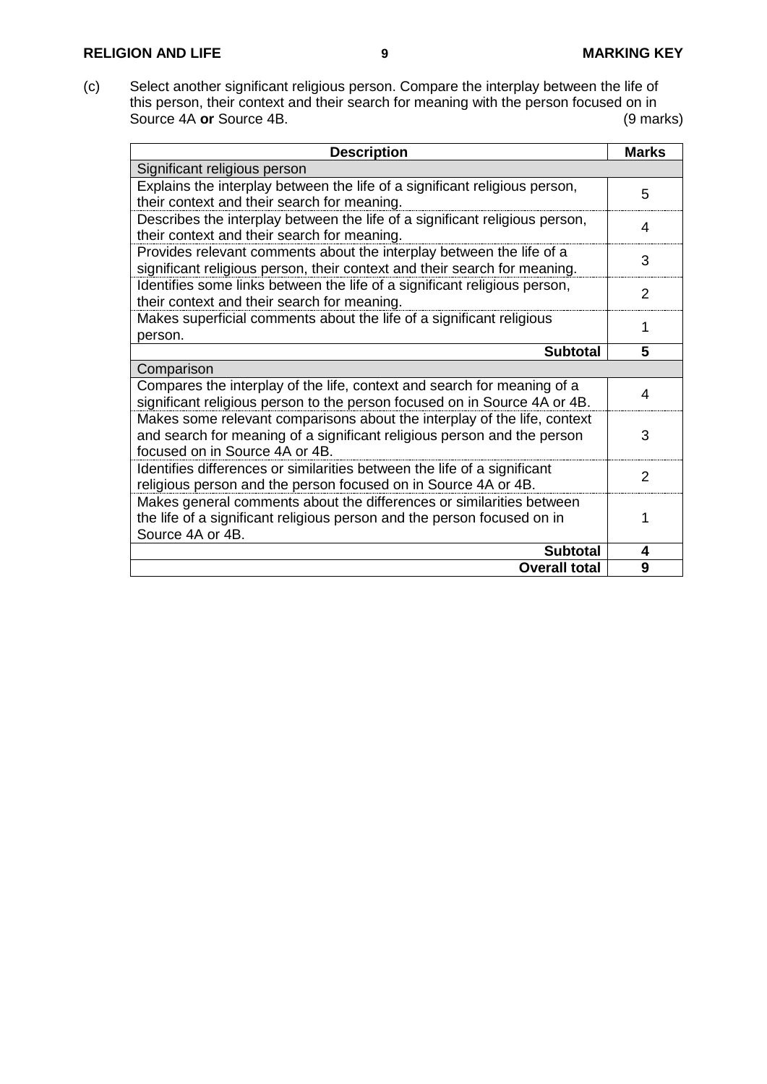### **RELIGION AND LIFE 9 MARKING KEY**

(c) Select another significant religious person. Compare the interplay between the life of this person, their context and their search for meaning with the person focused on in Source 4A **or** Source 4B. (9 marks)

| <b>Description</b>                                                          | <b>Marks</b>  |
|-----------------------------------------------------------------------------|---------------|
| Significant religious person                                                |               |
| Explains the interplay between the life of a significant religious person,  | 5             |
| their context and their search for meaning.                                 |               |
| Describes the interplay between the life of a significant religious person, | 4             |
| their context and their search for meaning.                                 |               |
| Provides relevant comments about the interplay between the life of a        | 3             |
| significant religious person, their context and their search for meaning.   |               |
| Identifies some links between the life of a significant religious person,   | 2             |
| their context and their search for meaning.                                 |               |
| Makes superficial comments about the life of a significant religious        | 1             |
| person.                                                                     |               |
| <b>Subtotal</b>                                                             | 5             |
| Comparison                                                                  |               |
| Compares the interplay of the life, context and search for meaning of a     | 4             |
| significant religious person to the person focused on in Source 4A or 4B.   |               |
| Makes some relevant comparisons about the interplay of the life, context    |               |
| and search for meaning of a significant religious person and the person     | 3             |
| focused on in Source 4A or 4B.                                              |               |
| Identifies differences or similarities between the life of a significant    | $\mathcal{P}$ |
| religious person and the person focused on in Source 4A or 4B.              |               |
| Makes general comments about the differences or similarities between        |               |
| the life of a significant religious person and the person focused on in     | 1             |
| Source 4A or 4B.                                                            |               |
| <b>Subtotal</b>                                                             | 4             |
| <b>Overall total</b>                                                        | 9             |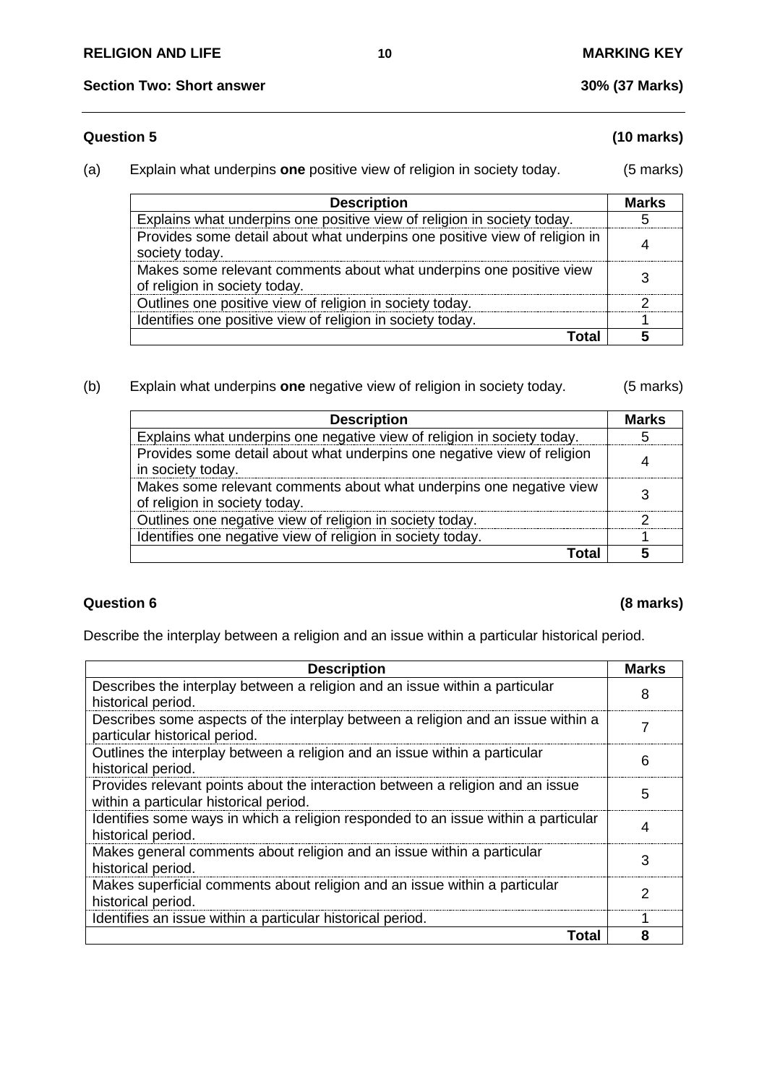### **Question 5 (10 marks)**

### (a) Explain what underpins **one** positive view of religion in society today. (5 marks)

| <b>Description</b>                                                                                   | <b>Marks</b> |
|------------------------------------------------------------------------------------------------------|--------------|
| Explains what underpins one positive view of religion in society today.                              |              |
| Provides some detail about what underpins one positive view of religion in<br>society today.         |              |
| Makes some relevant comments about what underpins one positive view<br>of religion in society today. |              |
| Outlines one positive view of religion in society today.                                             |              |
| Identifies one positive view of religion in society today.                                           |              |
| ั∩tal                                                                                                |              |

### (b) Explain what underpins **one** negative view of religion in society today. (5 marks)

| <b>Description</b>                                                                                   | <b>Marks</b> |
|------------------------------------------------------------------------------------------------------|--------------|
| Explains what underpins one negative view of religion in society today.                              |              |
| Provides some detail about what underpins one negative view of religion<br>in society today.         |              |
| Makes some relevant comments about what underpins one negative view<br>of religion in society today. |              |
| Outlines one negative view of religion in society today.                                             |              |
| Identifies one negative view of religion in society today.                                           |              |
|                                                                                                      |              |

### **Question 6 (8 marks)**

Describe the interplay between a religion and an issue within a particular historical period.

| <b>Description</b>                                                                                                       | <b>Marks</b> |
|--------------------------------------------------------------------------------------------------------------------------|--------------|
| Describes the interplay between a religion and an issue within a particular<br>historical period.                        | 8            |
| Describes some aspects of the interplay between a religion and an issue within a<br>particular historical period.        |              |
| Outlines the interplay between a religion and an issue within a particular<br>historical period.                         | 6            |
| Provides relevant points about the interaction between a religion and an issue<br>within a particular historical period. | 5            |
| Identifies some ways in which a religion responded to an issue within a particular<br>historical period.                 |              |
| Makes general comments about religion and an issue within a particular<br>historical period.                             | 3            |
| Makes superficial comments about religion and an issue within a particular<br>historical period.                         | 2            |
| Identifies an issue within a particular historical period.                                                               |              |
| Total                                                                                                                    | 8            |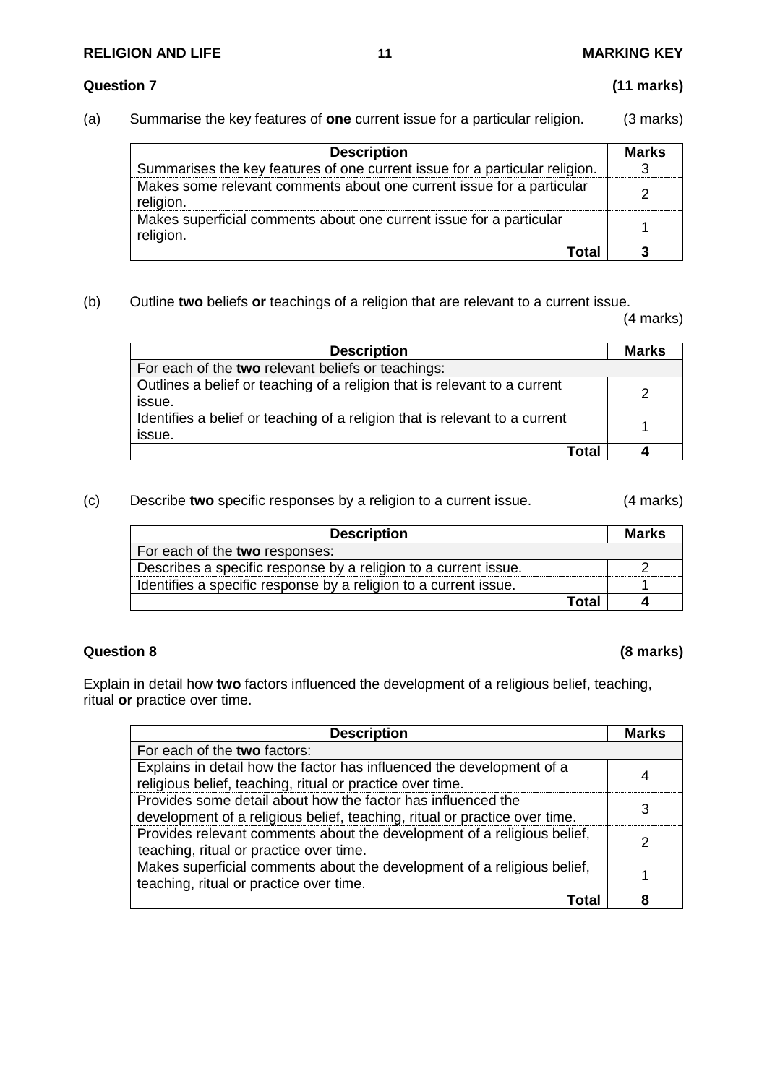### **RELIGION AND LIFE 11 MARKING KEY**

#### **Question 7 (11 marks)**

(a) Summarise the key features of **one** current issue for a particular religion. (3 marks)

| <b>Description</b>                                                                 | Marks |
|------------------------------------------------------------------------------------|-------|
| Summarises the key features of one current issue for a particular religion.        |       |
| Makes some relevant comments about one current issue for a particular<br>religion. |       |
| Makes superficial comments about one current issue for a particular<br>religion.   |       |
| Total                                                                              |       |

(b) Outline **two** beliefs **or** teachings of a religion that are relevant to a current issue.

(4 marks)

| <b>Description</b>                                                                    | <b>Marks</b> |
|---------------------------------------------------------------------------------------|--------------|
| For each of the two relevant beliefs or teachings:                                    |              |
| Outlines a belief or teaching of a religion that is relevant to a current<br>issue.   |              |
| Identifies a belief or teaching of a religion that is relevant to a current<br>issue. |              |
| Total                                                                                 |              |

#### (c) Describe **two** specific responses by a religion to a current issue. (4 marks)

| <b>Description</b>                                               | <b>Marks</b> |
|------------------------------------------------------------------|--------------|
| For each of the two responses:                                   |              |
| Describes a specific response by a religion to a current issue.  |              |
| Identifies a specific response by a religion to a current issue. |              |
| Total                                                            |              |

### **Question 8 (8 marks)**

Explain in detail how **two** factors influenced the development of a religious belief, teaching, ritual **or** practice over time.

| <b>Description</b>                                                                                                                         | Marks |
|--------------------------------------------------------------------------------------------------------------------------------------------|-------|
| For each of the two factors:                                                                                                               |       |
| Explains in detail how the factor has influenced the development of a<br>religious belief, teaching, ritual or practice over time.         |       |
| Provides some detail about how the factor has influenced the<br>development of a religious belief, teaching, ritual or practice over time. |       |
| Provides relevant comments about the development of a religious belief,<br>teaching, ritual or practice over time.                         |       |
| Makes superficial comments about the development of a religious belief,<br>teaching, ritual or practice over time.                         |       |
|                                                                                                                                            |       |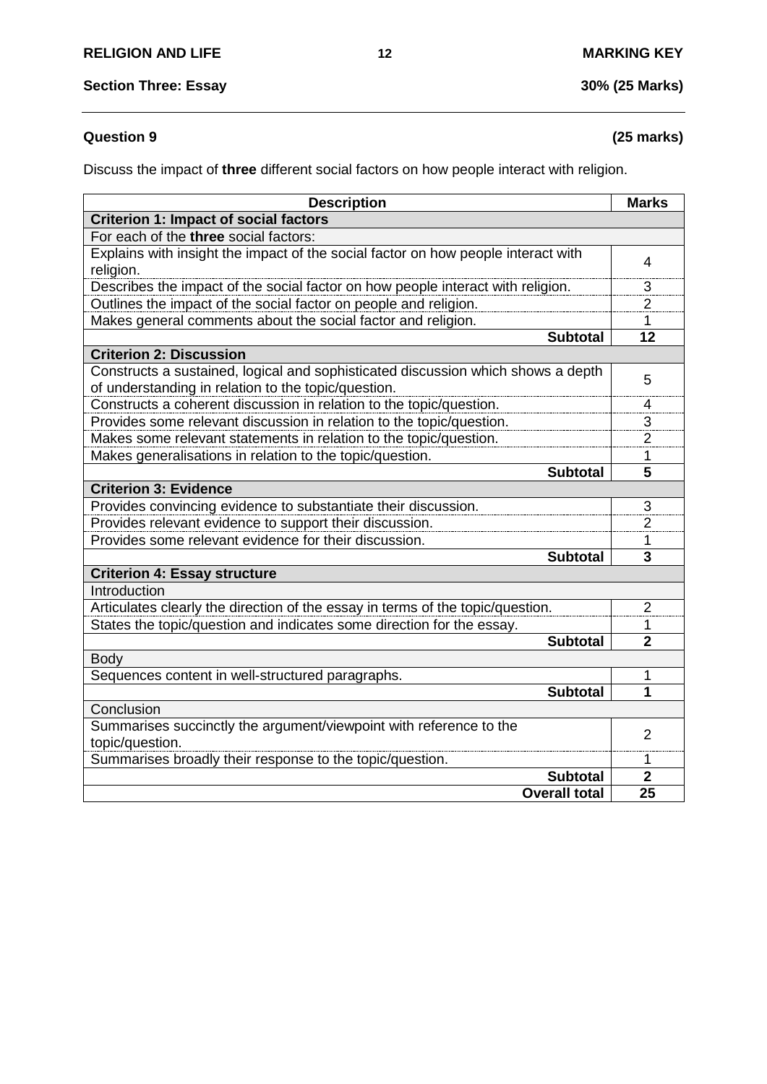## **Question 9 (25 marks)**

Discuss the impact of **three** different social factors on how people interact with religion.

| <b>Description</b>                                                                | <b>Marks</b>   |
|-----------------------------------------------------------------------------------|----------------|
| <b>Criterion 1: Impact of social factors</b>                                      |                |
| For each of the three social factors:                                             |                |
| Explains with insight the impact of the social factor on how people interact with | 4              |
| religion.                                                                         |                |
| Describes the impact of the social factor on how people interact with religion.   |                |
| Outlines the impact of the social factor on people and religion.                  |                |
| Makes general comments about the social factor and religion.                      | 1              |
| <b>Subtotal</b>                                                                   | 12             |
| <b>Criterion 2: Discussion</b>                                                    |                |
| Constructs a sustained, logical and sophisticated discussion which shows a depth  | 5              |
| of understanding in relation to the topic/question.                               |                |
| Constructs a coherent discussion in relation to the topic/question.               | 4              |
| Provides some relevant discussion in relation to the topic/question.              | 3              |
| Makes some relevant statements in relation to the topic/question.                 | $\overline{2}$ |
| Makes generalisations in relation to the topic/question.                          | 1              |
| <b>Subtotal</b>                                                                   | 5              |
| <b>Criterion 3: Evidence</b>                                                      |                |
| Provides convincing evidence to substantiate their discussion.                    | 3              |
| Provides relevant evidence to support their discussion.                           | $\overline{2}$ |
| Provides some relevant evidence for their discussion.                             | 1              |
| <b>Subtotal</b>                                                                   | 3              |
| <b>Criterion 4: Essay structure</b>                                               |                |
| Introduction                                                                      |                |
| Articulates clearly the direction of the essay in terms of the topic/question.    | $\overline{2}$ |
| States the topic/question and indicates some direction for the essay.             | 1              |
| <b>Subtotal</b>                                                                   | $\overline{2}$ |
| <b>Body</b>                                                                       |                |
| Sequences content in well-structured paragraphs.                                  | 1              |
| <b>Subtotal</b>                                                                   | 1              |
| Conclusion                                                                        |                |
| Summarises succinctly the argument/viewpoint with reference to the                | 2              |
| topic/question.                                                                   |                |
| Summarises broadly their response to the topic/question.                          | 1              |
| <b>Subtotal</b>                                                                   | $\overline{2}$ |
| <b>Overall total</b>                                                              | 25             |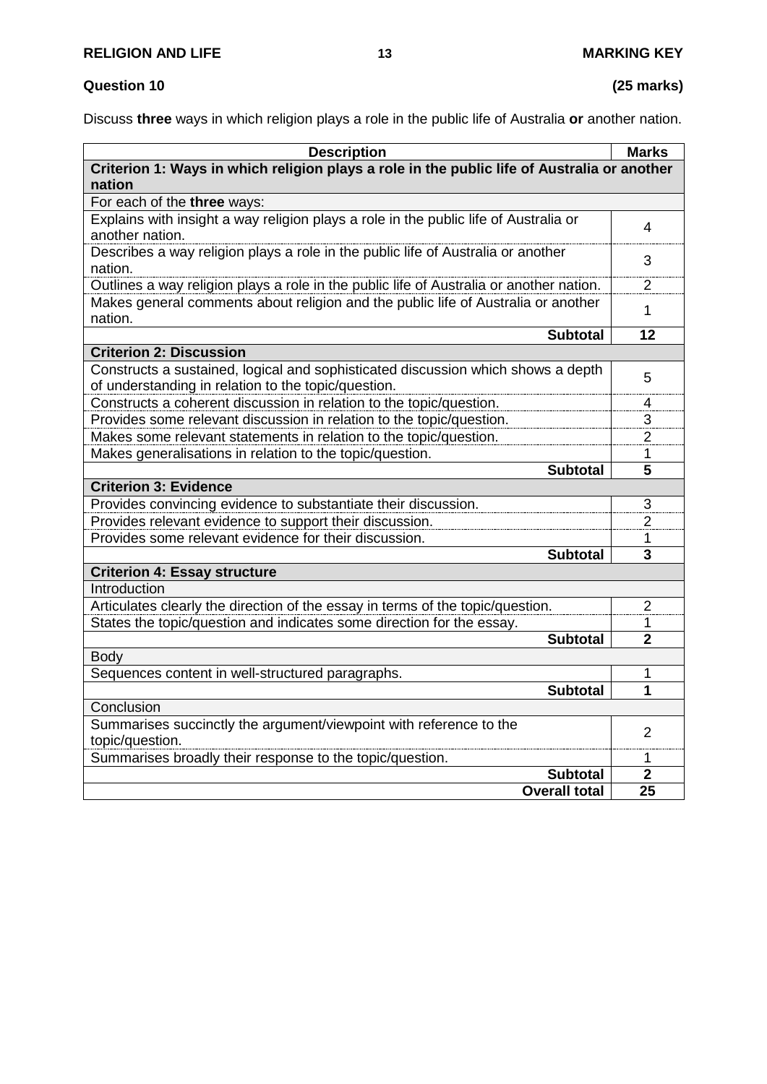## **Question 10 (25 marks)**

Discuss **three** ways in which religion plays a role in the public life of Australia **or** another nation.

| <b>Description</b>                                                                                                                      | <b>Marks</b>            |
|-----------------------------------------------------------------------------------------------------------------------------------------|-------------------------|
| Criterion 1: Ways in which religion plays a role in the public life of Australia or another                                             |                         |
| nation                                                                                                                                  |                         |
| For each of the three ways:                                                                                                             |                         |
| Explains with insight a way religion plays a role in the public life of Australia or<br>another nation.                                 | 4                       |
| Describes a way religion plays a role in the public life of Australia or another<br>nation.                                             |                         |
| Outlines a way religion plays a role in the public life of Australia or another nation.                                                 | 2                       |
| Makes general comments about religion and the public life of Australia or another<br>nation.                                            | 1                       |
| <b>Subtotal</b>                                                                                                                         | 12                      |
| <b>Criterion 2: Discussion</b>                                                                                                          |                         |
| Constructs a sustained, logical and sophisticated discussion which shows a depth<br>of understanding in relation to the topic/question. | 5                       |
| Constructs a coherent discussion in relation to the topic/question.                                                                     | 4                       |
| Provides some relevant discussion in relation to the topic/question.                                                                    | 3                       |
| Makes some relevant statements in relation to the topic/question.                                                                       | $\overline{2}$          |
| Makes generalisations in relation to the topic/question.                                                                                | 1                       |
| <b>Subtotal</b>                                                                                                                         | 5                       |
| <b>Criterion 3: Evidence</b>                                                                                                            |                         |
| Provides convincing evidence to substantiate their discussion.                                                                          | 3                       |
| Provides relevant evidence to support their discussion.                                                                                 | $\overline{2}$          |
| Provides some relevant evidence for their discussion.                                                                                   | 1                       |
| <b>Subtotal</b>                                                                                                                         | $\overline{\mathbf{3}}$ |
| <b>Criterion 4: Essay structure</b>                                                                                                     |                         |
| Introduction                                                                                                                            |                         |
| Articulates clearly the direction of the essay in terms of the topic/question.                                                          | $\overline{2}$          |
| States the topic/question and indicates some direction for the essay.                                                                   | 1                       |
| <b>Subtotal</b>                                                                                                                         | $\overline{2}$          |
| <b>Body</b>                                                                                                                             |                         |
| Sequences content in well-structured paragraphs.                                                                                        | 1                       |
| <b>Subtotal</b>                                                                                                                         | 1                       |
| Conclusion                                                                                                                              |                         |
| Summarises succinctly the argument/viewpoint with reference to the<br>topic/question.                                                   | 2                       |
| Summarises broadly their response to the topic/question.                                                                                | 1                       |
| <b>Subtotal</b>                                                                                                                         | $\overline{2}$          |
| <b>Overall total</b>                                                                                                                    | 25                      |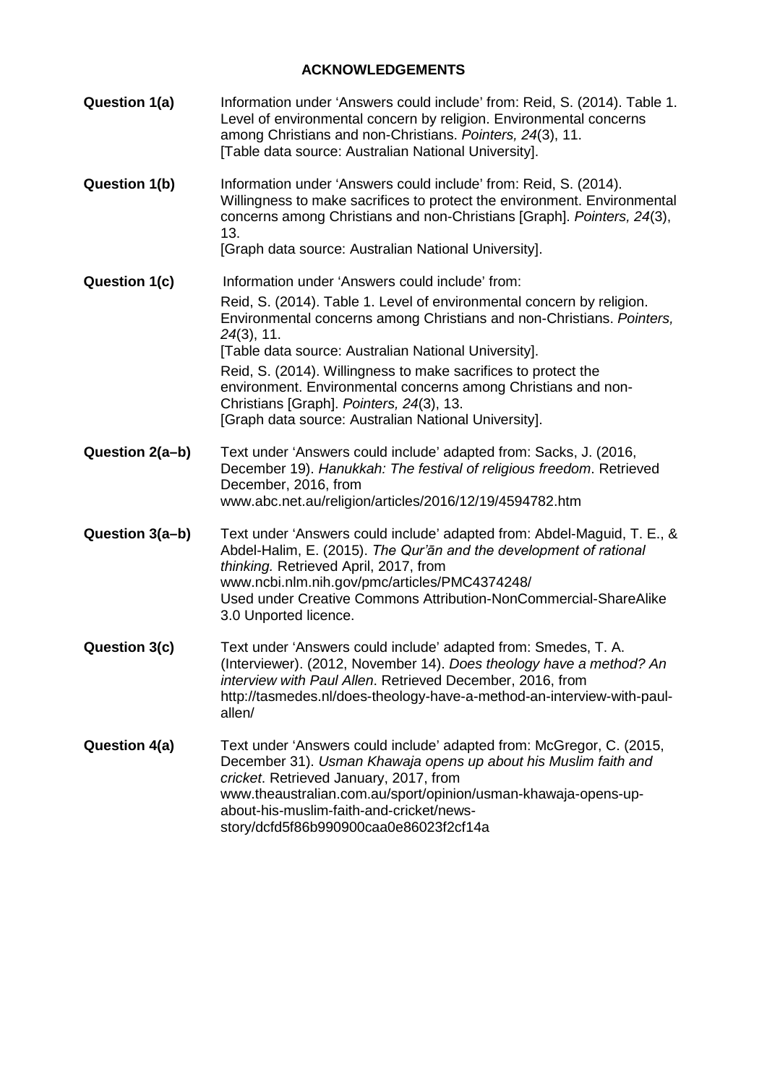### **ACKNOWLEDGEMENTS**

| Question 1(a)        | Information under 'Answers could include' from: Reid, S. (2014). Table 1.<br>Level of environmental concern by religion. Environmental concerns<br>among Christians and non-Christians. Pointers, 24(3), 11.<br>[Table data source: Australian National University].                                                                      |
|----------------------|-------------------------------------------------------------------------------------------------------------------------------------------------------------------------------------------------------------------------------------------------------------------------------------------------------------------------------------------|
| <b>Question 1(b)</b> | Information under 'Answers could include' from: Reid, S. (2014).<br>Willingness to make sacrifices to protect the environment. Environmental<br>concerns among Christians and non-Christians [Graph]. Pointers, 24(3),<br>13.                                                                                                             |
|                      | [Graph data source: Australian National University].                                                                                                                                                                                                                                                                                      |
| Question 1(c)        | Information under 'Answers could include' from:<br>Reid, S. (2014). Table 1. Level of environmental concern by religion.<br>Environmental concerns among Christians and non-Christians. Pointers,<br>$24(3)$ , 11.                                                                                                                        |
|                      | [Table data source: Australian National University].<br>Reid, S. (2014). Willingness to make sacrifices to protect the<br>environment. Environmental concerns among Christians and non-<br>Christians [Graph]. Pointers, 24(3), 13.<br>[Graph data source: Australian National University].                                               |
| Question 2(a-b)      | Text under 'Answers could include' adapted from: Sacks, J. (2016,<br>December 19). Hanukkah: The festival of religious freedom. Retrieved<br>December, 2016, from<br>www.abc.net.au/religion/articles/2016/12/19/4594782.htm                                                                                                              |
| Question 3(a-b)      | Text under 'Answers could include' adapted from: Abdel-Maguid, T. E., &<br>Abdel-Halim, E. (2015). The Qur'an and the development of rational<br>thinking. Retrieved April, 2017, from<br>www.ncbi.nlm.nih.gov/pmc/articles/PMC4374248/<br>Used under Creative Commons Attribution-NonCommercial-ShareAlike<br>3.0 Unported licence.      |
| Question 3(c)        | Text under 'Answers could include' adapted from: Smedes, T. A.<br>(Interviewer). (2012, November 14). Does theology have a method? An<br>interview with Paul Allen. Retrieved December, 2016, from<br>http://tasmedes.nl/does-theology-have-a-method-an-interview-with-paul-<br>allen/                                                    |
| Question 4(a)        | Text under 'Answers could include' adapted from: McGregor, C. (2015,<br>December 31). Usman Khawaja opens up about his Muslim faith and<br>cricket. Retrieved January, 2017, from<br>www.theaustralian.com.au/sport/opinion/usman-khawaja-opens-up-<br>about-his-muslim-faith-and-cricket/news-<br>story/dcfd5f86b990900caa0e86023f2cf14a |